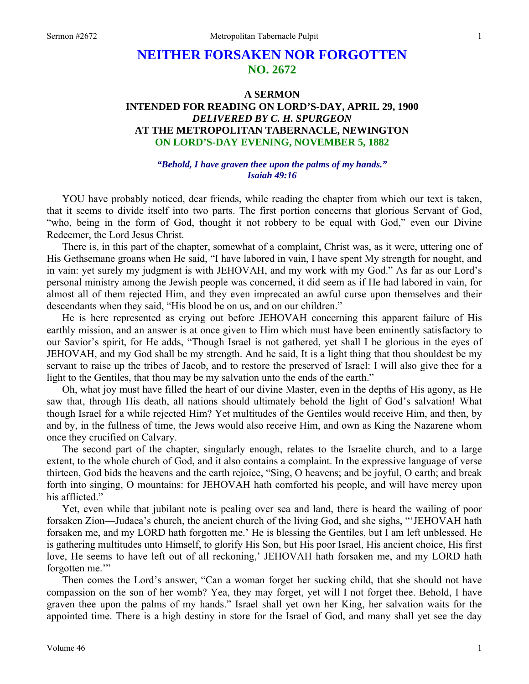# **NEITHER FORSAKEN NOR FORGOTTEN NO. 2672**

# **A SERMON INTENDED FOR READING ON LORD'S-DAY, APRIL 29, 1900**  *DELIVERED BY C. H. SPURGEON*  **AT THE METROPOLITAN TABERNACLE, NEWINGTON ON LORD'S-DAY EVENING, NOVEMBER 5, 1882**

#### *"Behold, I have graven thee upon the palms of my hands." Isaiah 49:16*

YOU have probably noticed, dear friends, while reading the chapter from which our text is taken, that it seems to divide itself into two parts. The first portion concerns that glorious Servant of God, "who, being in the form of God, thought it not robbery to be equal with God," even our Divine Redeemer, the Lord Jesus Christ.

There is, in this part of the chapter, somewhat of a complaint, Christ was, as it were, uttering one of His Gethsemane groans when He said, "I have labored in vain, I have spent My strength for nought, and in vain: yet surely my judgment is with JEHOVAH, and my work with my God." As far as our Lord's personal ministry among the Jewish people was concerned, it did seem as if He had labored in vain, for almost all of them rejected Him, and they even imprecated an awful curse upon themselves and their descendants when they said, "His blood be on us, and on our children."

He is here represented as crying out before JEHOVAH concerning this apparent failure of His earthly mission, and an answer is at once given to Him which must have been eminently satisfactory to our Savior's spirit, for He adds, "Though Israel is not gathered, yet shall I be glorious in the eyes of JEHOVAH, and my God shall be my strength. And he said, It is a light thing that thou shouldest be my servant to raise up the tribes of Jacob, and to restore the preserved of Israel: I will also give thee for a light to the Gentiles, that thou may be my salvation unto the ends of the earth."

Oh, what joy must have filled the heart of our divine Master, even in the depths of His agony, as He saw that, through His death, all nations should ultimately behold the light of God's salvation! What though Israel for a while rejected Him? Yet multitudes of the Gentiles would receive Him, and then, by and by, in the fullness of time, the Jews would also receive Him, and own as King the Nazarene whom once they crucified on Calvary.

The second part of the chapter, singularly enough, relates to the Israelite church, and to a large extent, to the whole church of God, and it also contains a complaint. In the expressive language of verse thirteen, God bids the heavens and the earth rejoice, "Sing, O heavens; and be joyful, O earth; and break forth into singing, O mountains: for JEHOVAH hath comforted his people, and will have mercy upon his afflicted."

Yet, even while that jubilant note is pealing over sea and land, there is heard the wailing of poor forsaken Zion—Judaea's church, the ancient church of the living God, and she sighs, "'JEHOVAH hath forsaken me, and my LORD hath forgotten me.' He is blessing the Gentiles, but I am left unblessed. He is gathering multitudes unto Himself, to glorify His Son, but His poor Israel, His ancient choice, His first love, He seems to have left out of all reckoning,' JEHOVAH hath forsaken me, and my LORD hath forgotten me."

Then comes the Lord's answer, "Can a woman forget her sucking child, that she should not have compassion on the son of her womb? Yea, they may forget, yet will I not forget thee. Behold, I have graven thee upon the palms of my hands." Israel shall yet own her King, her salvation waits for the appointed time. There is a high destiny in store for the Israel of God, and many shall yet see the day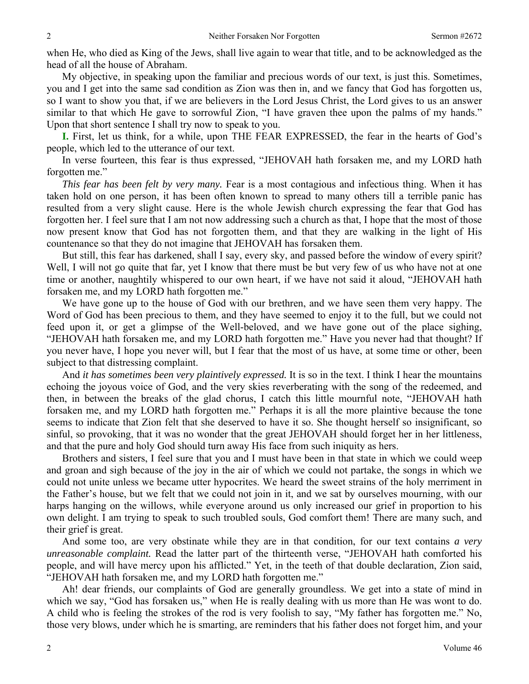when He, who died as King of the Jews, shall live again to wear that title, and to be acknowledged as the head of all the house of Abraham.

My objective, in speaking upon the familiar and precious words of our text, is just this. Sometimes, you and I get into the same sad condition as Zion was then in, and we fancy that God has forgotten us, so I want to show you that, if we are believers in the Lord Jesus Christ, the Lord gives to us an answer similar to that which He gave to sorrowful Zion, "I have graven thee upon the palms of my hands." Upon that short sentence I shall try now to speak to you.

**I.** First, let us think, for a while, upon THE FEAR EXPRESSED, the fear in the hearts of God's people, which led to the utterance of our text.

In verse fourteen, this fear is thus expressed, "JEHOVAH hath forsaken me, and my LORD hath forgotten me."

*This fear has been felt by very many.* Fear is a most contagious and infectious thing. When it has taken hold on one person, it has been often known to spread to many others till a terrible panic has resulted from a very slight cause. Here is the whole Jewish church expressing the fear that God has forgotten her. I feel sure that I am not now addressing such a church as that, I hope that the most of those now present know that God has not forgotten them, and that they are walking in the light of His countenance so that they do not imagine that JEHOVAH has forsaken them.

But still, this fear has darkened, shall I say, every sky, and passed before the window of every spirit? Well, I will not go quite that far, yet I know that there must be but very few of us who have not at one time or another, naughtily whispered to our own heart, if we have not said it aloud, "JEHOVAH hath forsaken me, and my LORD hath forgotten me."

We have gone up to the house of God with our brethren, and we have seen them very happy. The Word of God has been precious to them, and they have seemed to enjoy it to the full, but we could not feed upon it, or get a glimpse of the Well-beloved, and we have gone out of the place sighing, "JEHOVAH hath forsaken me, and my LORD hath forgotten me." Have you never had that thought? If you never have, I hope you never will, but I fear that the most of us have, at some time or other, been subject to that distressing complaint.

And *it has sometimes been very plaintively expressed.* It is so in the text. I think I hear the mountains echoing the joyous voice of God, and the very skies reverberating with the song of the redeemed, and then, in between the breaks of the glad chorus, I catch this little mournful note, "JEHOVAH hath forsaken me, and my LORD hath forgotten me." Perhaps it is all the more plaintive because the tone seems to indicate that Zion felt that she deserved to have it so. She thought herself so insignificant, so sinful, so provoking, that it was no wonder that the great JEHOVAH should forget her in her littleness, and that the pure and holy God should turn away His face from such iniquity as hers.

Brothers and sisters, I feel sure that you and I must have been in that state in which we could weep and groan and sigh because of the joy in the air of which we could not partake, the songs in which we could not unite unless we became utter hypocrites. We heard the sweet strains of the holy merriment in the Father's house, but we felt that we could not join in it, and we sat by ourselves mourning, with our harps hanging on the willows, while everyone around us only increased our grief in proportion to his own delight. I am trying to speak to such troubled souls, God comfort them! There are many such, and their grief is great.

And some too, are very obstinate while they are in that condition, for our text contains *a very unreasonable complaint.* Read the latter part of the thirteenth verse, "JEHOVAH hath comforted his people, and will have mercy upon his afflicted." Yet, in the teeth of that double declaration, Zion said, "JEHOVAH hath forsaken me, and my LORD hath forgotten me."

Ah! dear friends, our complaints of God are generally groundless. We get into a state of mind in which we say, "God has forsaken us," when He is really dealing with us more than He was wont to do. A child who is feeling the strokes of the rod is very foolish to say, "My father has forgotten me." No, those very blows, under which he is smarting, are reminders that his father does not forget him, and your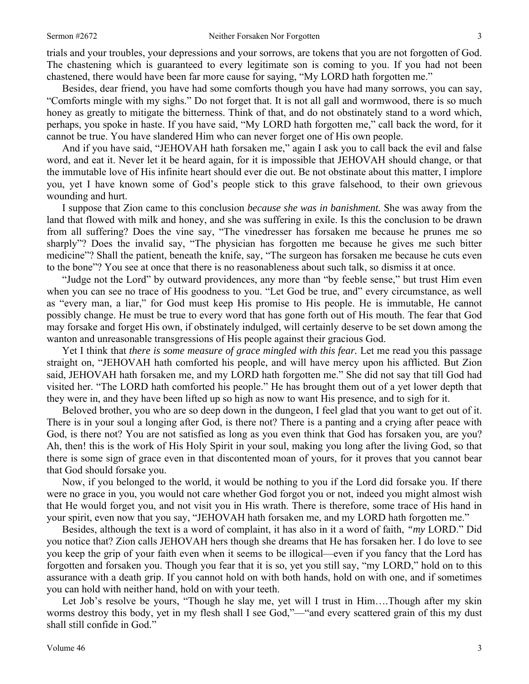trials and your troubles, your depressions and your sorrows, are tokens that you are not forgotten of God. The chastening which is guaranteed to every legitimate son is coming to you. If you had not been chastened, there would have been far more cause for saying, "My LORD hath forgotten me."

Besides, dear friend, you have had some comforts though you have had many sorrows, you can say, "Comforts mingle with my sighs." Do not forget that. It is not all gall and wormwood, there is so much honey as greatly to mitigate the bitterness. Think of that, and do not obstinately stand to a word which, perhaps, you spoke in haste. If you have said, "My LORD hath forgotten me," call back the word, for it cannot be true. You have slandered Him who can never forget one of His own people.

And if you have said, "JEHOVAH hath forsaken me," again I ask you to call back the evil and false word, and eat it. Never let it be heard again, for it is impossible that JEHOVAH should change, or that the immutable love of His infinite heart should ever die out. Be not obstinate about this matter, I implore you, yet I have known some of God's people stick to this grave falsehood, to their own grievous wounding and hurt.

I suppose that Zion came to this conclusion *because she was in banishment.* She was away from the land that flowed with milk and honey, and she was suffering in exile. Is this the conclusion to be drawn from all suffering? Does the vine say, "The vinedresser has forsaken me because he prunes me so sharply"? Does the invalid say, "The physician has forgotten me because he gives me such bitter medicine"? Shall the patient, beneath the knife, say, "The surgeon has forsaken me because he cuts even to the bone"? You see at once that there is no reasonableness about such talk, so dismiss it at once.

"Judge not the Lord" by outward providences, any more than "by feeble sense," but trust Him even when you can see no trace of His goodness to you. "Let God be true, and" every circumstance, as well as "every man, a liar," for God must keep His promise to His people. He is immutable, He cannot possibly change. He must be true to every word that has gone forth out of His mouth. The fear that God may forsake and forget His own, if obstinately indulged, will certainly deserve to be set down among the wanton and unreasonable transgressions of His people against their gracious God.

Yet I think that *there is some measure of grace mingled with this fear*. Let me read you this passage straight on, "JEHOVAH hath comforted his people, and will have mercy upon his afflicted. But Zion said, JEHOVAH hath forsaken me, and my LORD hath forgotten me." She did not say that till God had visited her. "The LORD hath comforted his people." He has brought them out of a yet lower depth that they were in, and they have been lifted up so high as now to want His presence, and to sigh for it.

Beloved brother, you who are so deep down in the dungeon, I feel glad that you want to get out of it. There is in your soul a longing after God, is there not? There is a panting and a crying after peace with God, is there not? You are not satisfied as long as you even think that God has forsaken you, are you? Ah, then! this is the work of His Holy Spirit in your soul, making you long after the living God, so that there is some sign of grace even in that discontented moan of yours, for it proves that you cannot bear that God should forsake you.

Now, if you belonged to the world, it would be nothing to you if the Lord did forsake you. If there were no grace in you, you would not care whether God forgot you or not, indeed you might almost wish that He would forget you, and not visit you in His wrath. There is therefore, some trace of His hand in your spirit, even now that you say, "JEHOVAH hath forsaken me, and my LORD hath forgotten me."

Besides, although the text is a word of complaint, it has also in it a word of faith, *"my* LORD." Did you notice that? Zion calls JEHOVAH hers though she dreams that He has forsaken her. I do love to see you keep the grip of your faith even when it seems to be illogical—even if you fancy that the Lord has forgotten and forsaken you. Though you fear that it is so, yet you still say, "my LORD," hold on to this assurance with a death grip. If you cannot hold on with both hands, hold on with one, and if sometimes you can hold with neither hand, hold on with your teeth.

Let Job's resolve be yours, "Though he slay me, yet will I trust in Him….Though after my skin worms destroy this body, yet in my flesh shall I see God,"—"and every scattered grain of this my dust shall still confide in God."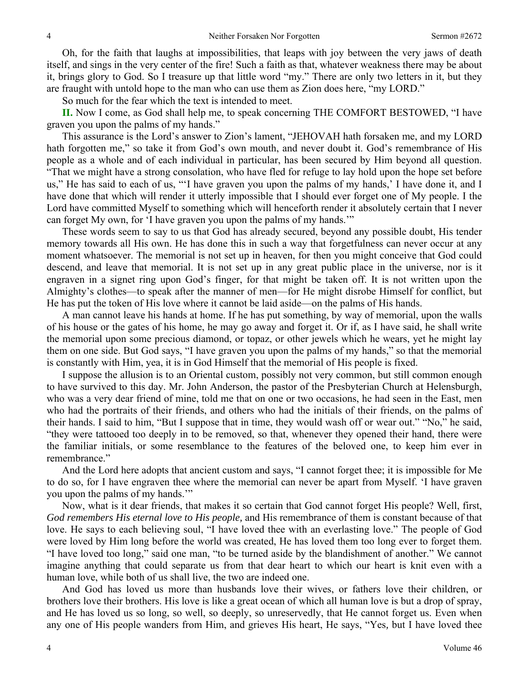Oh, for the faith that laughs at impossibilities, that leaps with joy between the very jaws of death itself, and sings in the very center of the fire! Such a faith as that, whatever weakness there may be about it, brings glory to God. So I treasure up that little word "my." There are only two letters in it, but they are fraught with untold hope to the man who can use them as Zion does here, "my LORD."

So much for the fear which the text is intended to meet.

**II.** Now I come, as God shall help me, to speak concerning THE COMFORT BESTOWED, "I have graven you upon the palms of my hands."

This assurance is the Lord's answer to Zion's lament, "JEHOVAH hath forsaken me, and my LORD hath forgotten me," so take it from God's own mouth, and never doubt it. God's remembrance of His people as a whole and of each individual in particular, has been secured by Him beyond all question. "That we might have a strong consolation, who have fled for refuge to lay hold upon the hope set before us," He has said to each of us, "'I have graven you upon the palms of my hands,' I have done it, and I have done that which will render it utterly impossible that I should ever forget one of My people. I the Lord have committed Myself to something which will henceforth render it absolutely certain that I never can forget My own, for 'I have graven you upon the palms of my hands.'"

These words seem to say to us that God has already secured, beyond any possible doubt, His tender memory towards all His own. He has done this in such a way that forgetfulness can never occur at any moment whatsoever. The memorial is not set up in heaven, for then you might conceive that God could descend, and leave that memorial. It is not set up in any great public place in the universe, nor is it engraven in a signet ring upon God's finger, for that might be taken off. It is not written upon the Almighty's clothes—to speak after the manner of men—for He might disrobe Himself for conflict, but He has put the token of His love where it cannot be laid aside—on the palms of His hands.

A man cannot leave his hands at home. If he has put something, by way of memorial, upon the walls of his house or the gates of his home, he may go away and forget it. Or if, as I have said, he shall write the memorial upon some precious diamond, or topaz, or other jewels which he wears, yet he might lay them on one side. But God says, "I have graven you upon the palms of my hands," so that the memorial is constantly with Him, yea, it is in God Himself that the memorial of His people is fixed.

I suppose the allusion is to an Oriental custom, possibly not very common, but still common enough to have survived to this day. Mr. John Anderson, the pastor of the Presbyterian Church at Helensburgh, who was a very dear friend of mine, told me that on one or two occasions, he had seen in the East, men who had the portraits of their friends, and others who had the initials of their friends, on the palms of their hands. I said to him, "But I suppose that in time, they would wash off or wear out." "No," he said, "they were tattooed too deeply in to be removed, so that, whenever they opened their hand, there were the familiar initials, or some resemblance to the features of the beloved one, to keep him ever in remembrance."

And the Lord here adopts that ancient custom and says, "I cannot forget thee; it is impossible for Me to do so, for I have engraven thee where the memorial can never be apart from Myself. 'I have graven you upon the palms of my hands.'"

Now, what is it dear friends, that makes it so certain that God cannot forget His people? Well, first, *God remembers His eternal love to His people,* and His remembrance of them is constant because of that love. He says to each believing soul, "I have loved thee with an everlasting love." The people of God were loved by Him long before the world was created, He has loved them too long ever to forget them. "I have loved too long," said one man, "to be turned aside by the blandishment of another." We cannot imagine anything that could separate us from that dear heart to which our heart is knit even with a human love, while both of us shall live, the two are indeed one.

And God has loved us more than husbands love their wives, or fathers love their children, or brothers love their brothers. His love is like a great ocean of which all human love is but a drop of spray, and He has loved us so long, so well, so deeply, so unreservedly, that He cannot forget us. Even when any one of His people wanders from Him, and grieves His heart, He says, "Yes*,* but I have loved thee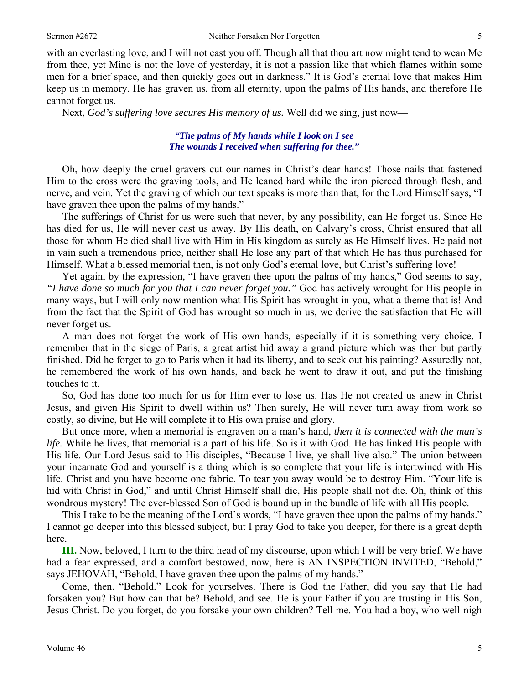with an everlasting love, and I will not cast you off. Though all that thou art now might tend to wean Me from thee, yet Mine is not the love of yesterday, it is not a passion like that which flames within some men for a brief space, and then quickly goes out in darkness." It is God's eternal love that makes Him keep us in memory. He has graven us, from all eternity, upon the palms of His hands, and therefore He cannot forget us.

Next, *God's suffering love secures His memory of us.* Well did we sing, just now—

### *"The palms of My hands while I look on I see The wounds I received when suffering for thee."*

Oh, how deeply the cruel gravers cut our names in Christ's dear hands! Those nails that fastened Him to the cross were the graving tools, and He leaned hard while the iron pierced through flesh, and nerve, and vein. Yet the graving of which our text speaks is more than that, for the Lord Himself says, "I have graven thee upon the palms of my hands."

The sufferings of Christ for us were such that never, by any possibility, can He forget us. Since He has died for us, He will never cast us away. By His death, on Calvary's cross, Christ ensured that all those for whom He died shall live with Him in His kingdom as surely as He Himself lives. He paid not in vain such a tremendous price, neither shall He lose any part of that which He has thus purchased for Himself. What a blessed memorial then, is not only God's eternal love, but Christ's suffering love!

Yet again, by the expression, "I have graven thee upon the palms of my hands," God seems to say, *"I have done so much for you that I can never forget you."* God has actively wrought for His people in many ways, but I will only now mention what His Spirit has wrought in you, what a theme that is! And from the fact that the Spirit of God has wrought so much in us, we derive the satisfaction that He will never forget us.

A man does not forget the work of His own hands, especially if it is something very choice. I remember that in the siege of Paris, a great artist hid away a grand picture which was then but partly finished. Did he forget to go to Paris when it had its liberty, and to seek out his painting? Assuredly not, he remembered the work of his own hands, and back he went to draw it out, and put the finishing touches to it.

So, God has done too much for us for Him ever to lose us. Has He not created us anew in Christ Jesus, and given His Spirit to dwell within us? Then surely, He will never turn away from work so costly, so divine, but He will complete it to His own praise and glory.

But once more, when a memorial is engraven on a man's hand, *then it is connected with the man's life.* While he lives, that memorial is a part of his life. So is it with God. He has linked His people with His life. Our Lord Jesus said to His disciples, "Because I live, ye shall live also." The union between your incarnate God and yourself is a thing which is so complete that your life is intertwined with His life. Christ and you have become one fabric. To tear you away would be to destroy Him. "Your life is hid with Christ in God," and until Christ Himself shall die, His people shall not die. Oh, think of this wondrous mystery! The ever-blessed Son of God is bound up in the bundle of life with all His people.

This I take to be the meaning of the Lord's words, "I have graven thee upon the palms of my hands." I cannot go deeper into this blessed subject, but I pray God to take you deeper, for there is a great depth here.

**III.** Now, beloved, I turn to the third head of my discourse, upon which I will be very brief. We have had a fear expressed, and a comfort bestowed, now, here is AN INSPECTION INVITED, "Behold," says JEHOVAH, "Behold, I have graven thee upon the palms of my hands."

Come, then. "Behold." Look for yourselves. There is God the Father, did you say that He had forsaken you? But how can that be? Behold, and see. He is your Father if you are trusting in His Son, Jesus Christ. Do you forget, do you forsake your own children? Tell me. You had a boy, who well-nigh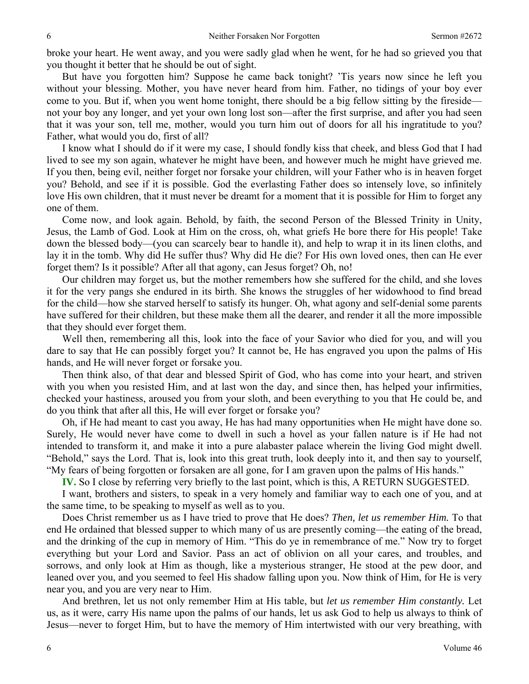broke your heart. He went away, and you were sadly glad when he went, for he had so grieved you that you thought it better that he should be out of sight.

But have you forgotten him? Suppose he came back tonight? 'Tis years now since he left you without your blessing. Mother, you have never heard from him. Father, no tidings of your boy ever come to you. But if, when you went home tonight, there should be a big fellow sitting by the fireside not your boy any longer, and yet your own long lost son—after the first surprise, and after you had seen that it was your son, tell me, mother, would you turn him out of doors for all his ingratitude to you? Father, what would you do, first of all?

I know what I should do if it were my case, I should fondly kiss that cheek, and bless God that I had lived to see my son again, whatever he might have been, and however much he might have grieved me. If you then, being evil, neither forget nor forsake your children, will your Father who is in heaven forget you? Behold, and see if it is possible. God the everlasting Father does so intensely love, so infinitely love His own children, that it must never be dreamt for a moment that it is possible for Him to forget any one of them.

Come now, and look again. Behold, by faith, the second Person of the Blessed Trinity in Unity, Jesus, the Lamb of God. Look at Him on the cross, oh, what griefs He bore there for His people! Take down the blessed body—(you can scarcely bear to handle it), and help to wrap it in its linen cloths, and lay it in the tomb. Why did He suffer thus? Why did He die? For His own loved ones, then can He ever forget them? Is it possible? After all that agony, can Jesus forget? Oh, no!

Our children may forget us, but the mother remembers how she suffered for the child, and she loves it for the very pangs she endured in its birth. She knows the struggles of her widowhood to find bread for the child—how she starved herself to satisfy its hunger. Oh, what agony and self-denial some parents have suffered for their children, but these make them all the dearer, and render it all the more impossible that they should ever forget them.

Well then, remembering all this, look into the face of your Savior who died for you, and will you dare to say that He can possibly forget you? It cannot be, He has engraved you upon the palms of His hands, and He will never forget or forsake you.

Then think also, of that dear and blessed Spirit of God, who has come into your heart, and striven with you when you resisted Him, and at last won the day, and since then, has helped your infirmities, checked your hastiness, aroused you from your sloth, and been everything to you that He could be, and do you think that after all this, He will ever forget or forsake you?

Oh, if He had meant to cast you away, He has had many opportunities when He might have done so. Surely, He would never have come to dwell in such a hovel as your fallen nature is if He had not intended to transform it, and make it into a pure alabaster palace wherein the living God might dwell. "Behold," says the Lord. That is, look into this great truth, look deeply into it, and then say to yourself, "My fears of being forgotten or forsaken are all gone, for I am graven upon the palms of His hands."

**IV.** So I close by referring very briefly to the last point, which is this, A RETURN SUGGESTED.

I want, brothers and sisters, to speak in a very homely and familiar way to each one of you, and at the same time, to be speaking to myself as well as to you.

Does Christ remember us as I have tried to prove that He does? *Then, let us remember Him.* To that end He ordained that blessed supper to which many of us are presently coming—the eating of the bread, and the drinking of the cup in memory of Him. "This do ye in remembrance of me." Now try to forget everything but your Lord and Savior. Pass an act of oblivion on all your cares, and troubles, and sorrows, and only look at Him as though, like a mysterious stranger, He stood at the pew door, and leaned over you, and you seemed to feel His shadow falling upon you. Now think of Him, for He is very near you, and you are very near to Him.

And brethren, let us not only remember Him at His table, but *let us remember Him constantly.* Let us, as it were, carry His name upon the palms of our hands, let us ask God to help us always to think of Jesus—never to forget Him, but to have the memory of Him intertwisted with our very breathing, with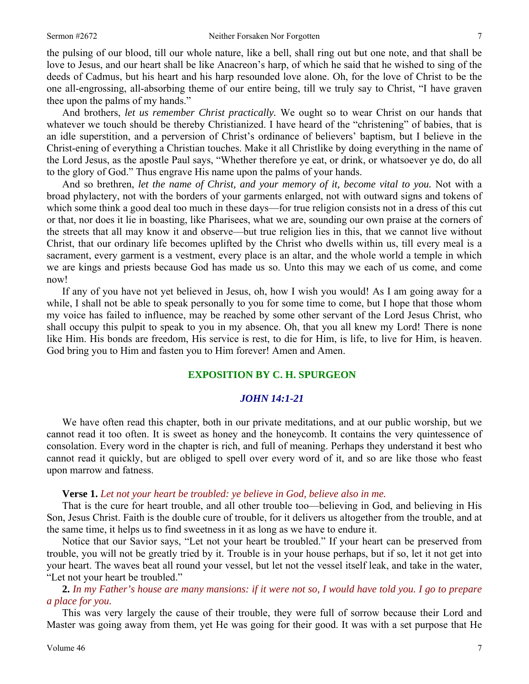the pulsing of our blood, till our whole nature, like a bell, shall ring out but one note, and that shall be love to Jesus, and our heart shall be like Anacreon's harp, of which he said that he wished to sing of the deeds of Cadmus, but his heart and his harp resounded love alone. Oh, for the love of Christ to be the one all-engrossing, all-absorbing theme of our entire being, till we truly say to Christ, "I have graven thee upon the palms of my hands."

And brothers, *let us remember Christ practically.* We ought so to wear Christ on our hands that whatever we touch should be thereby Christianized. I have heard of the "christening" of babies, that is an idle superstition, and a perversion of Christ's ordinance of believers' baptism, but I believe in the Christ-ening of everything a Christian touches. Make it all Christlike by doing everything in the name of the Lord Jesus, as the apostle Paul says, "Whether therefore ye eat, or drink, or whatsoever ye do, do all to the glory of God." Thus engrave His name upon the palms of your hands.

And so brethren, *let the name of Christ, and your memory of it, become vital to you.* Not with a broad phylactery, not with the borders of your garments enlarged, not with outward signs and tokens of which some think a good deal too much in these days—for true religion consists not in a dress of this cut or that, nor does it lie in boasting, like Pharisees, what we are, sounding our own praise at the corners of the streets that all may know it and observe—but true religion lies in this, that we cannot live without Christ, that our ordinary life becomes uplifted by the Christ who dwells within us, till every meal is a sacrament, every garment is a vestment, every place is an altar, and the whole world a temple in which we are kings and priests because God has made us so. Unto this may we each of us come, and come now!

If any of you have not yet believed in Jesus, oh, how I wish you would! As I am going away for a while, I shall not be able to speak personally to you for some time to come, but I hope that those whom my voice has failed to influence, may be reached by some other servant of the Lord Jesus Christ, who shall occupy this pulpit to speak to you in my absence. Oh, that you all knew my Lord! There is none like Him. His bonds are freedom, His service is rest, to die for Him, is life, to live for Him, is heaven. God bring you to Him and fasten you to Him forever! Amen and Amen.

### **EXPOSITION BY C. H. SPURGEON**

### *JOHN 14:1-21*

We have often read this chapter, both in our private meditations, and at our public worship, but we cannot read it too often. It is sweet as honey and the honeycomb. It contains the very quintessence of consolation. Every word in the chapter is rich, and full of meaning. Perhaps they understand it best who cannot read it quickly, but are obliged to spell over every word of it, and so are like those who feast upon marrow and fatness.

### **Verse 1.** *Let not your heart be troubled: ye believe in God, believe also in me.*

That is the cure for heart trouble, and all other trouble too—believing in God, and believing in His Son, Jesus Christ. Faith is the double cure of trouble, for it delivers us altogether from the trouble, and at the same time, it helps us to find sweetness in it as long as we have to endure it.

Notice that our Savior says, "Let not your heart be troubled." If your heart can be preserved from trouble, you will not be greatly tried by it. Trouble is in your house perhaps, but if so, let it not get into your heart. The waves beat all round your vessel, but let not the vessel itself leak, and take in the water, "Let not your heart be troubled."

**2.** *In my Father's house are many mansions: if it were not so, I would have told you. I go to prepare a place for you.* 

This was very largely the cause of their trouble, they were full of sorrow because their Lord and Master was going away from them, yet He was going for their good. It was with a set purpose that He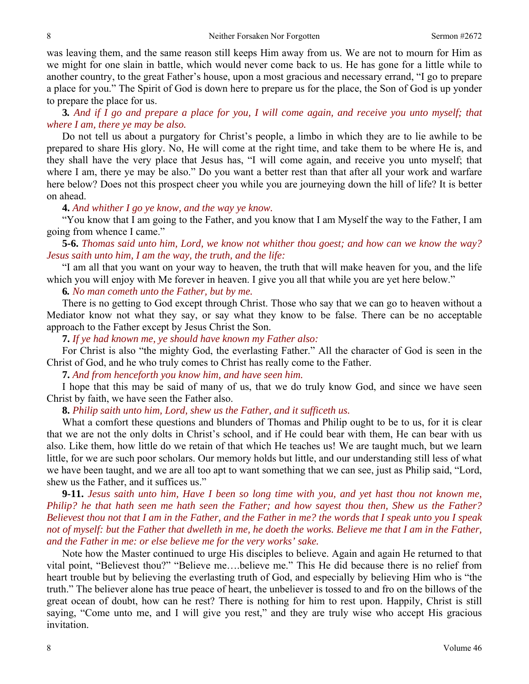was leaving them, and the same reason still keeps Him away from us. We are not to mourn for Him as we might for one slain in battle, which would never come back to us. He has gone for a little while to another country, to the great Father's house, upon a most gracious and necessary errand, "I go to prepare a place for you." The Spirit of God is down here to prepare us for the place, the Son of God is up yonder to prepare the place for us.

**3***. And if I go and prepare a place for you, I will come again, and receive you unto myself; that where I am, there ye may be also.* 

Do not tell us about a purgatory for Christ's people, a limbo in which they are to lie awhile to be prepared to share His glory. No, He will come at the right time, and take them to be where He is, and they shall have the very place that Jesus has, "I will come again, and receive you unto myself; that where I am, there ye may be also." Do you want a better rest than that after all your work and warfare here below? Does not this prospect cheer you while you are journeying down the hill of life? It is better on ahead.

#### **4.** *And whither I go ye know, and the way ye know.*

"You know that I am going to the Father, and you know that I am Myself the way to the Father, I am going from whence I came."

**5-6.** *Thomas said unto him, Lord, we know not whither thou goest; and how can we know the way? Jesus saith unto him, I am the way, the truth, and the life:* 

"I am all that you want on your way to heaven, the truth that will make heaven for you, and the life which you will enjoy with Me forever in heaven. I give you all that while you are yet here below."

**6***. No man cometh unto the Father, but by me.* 

There is no getting to God except through Christ. Those who say that we can go to heaven without a Mediator know not what they say, or say what they know to be false. There can be no acceptable approach to the Father except by Jesus Christ the Son.

**7.** *If ye had known me, ye should have known my Father also:* 

For Christ is also "the mighty God, the everlasting Father." All the character of God is seen in the Christ of God, and he who truly comes to Christ has really come to the Father.

**7.** *And from henceforth you know him, and have seen him.* 

I hope that this may be said of many of us, that we do truly know God, and since we have seen Christ by faith, we have seen the Father also.

# **8.** *Philip saith unto him, Lord, shew us the Father, and it sufficeth us.*

What a comfort these questions and blunders of Thomas and Philip ought to be to us, for it is clear that we are not the only dolts in Christ's school, and if He could bear with them, He can bear with us also. Like them, how little do we retain of that which He teaches us! We are taught much, but we learn little, for we are such poor scholars. Our memory holds but little, and our understanding still less of what we have been taught, and we are all too apt to want something that we can see, just as Philip said, "Lord, shew us the Father, and it suffices us."

**9-11.** *Jesus saith unto him, Have I been so long time with you, and yet hast thou not known me, Philip? he that hath seen me hath seen the Father; and how sayest thou then, Shew us the Father? Believest thou not that I am in the Father, and the Father in me? the words that I speak unto you I speak not of myself: but the Father that dwelleth in me, he doeth the works. Believe me that I am in the Father, and the Father in me: or else believe me for the very works' sake.* 

Note how the Master continued to urge His disciples to believe. Again and again He returned to that vital point, "Believest thou?" "Believe me….believe me." This He did because there is no relief from heart trouble but by believing the everlasting truth of God, and especially by believing Him who is "the truth." The believer alone has true peace of heart, the unbeliever is tossed to and fro on the billows of the great ocean of doubt, how can he rest? There is nothing for him to rest upon. Happily, Christ is still saying, "Come unto me, and I will give you rest," and they are truly wise who accept His gracious invitation.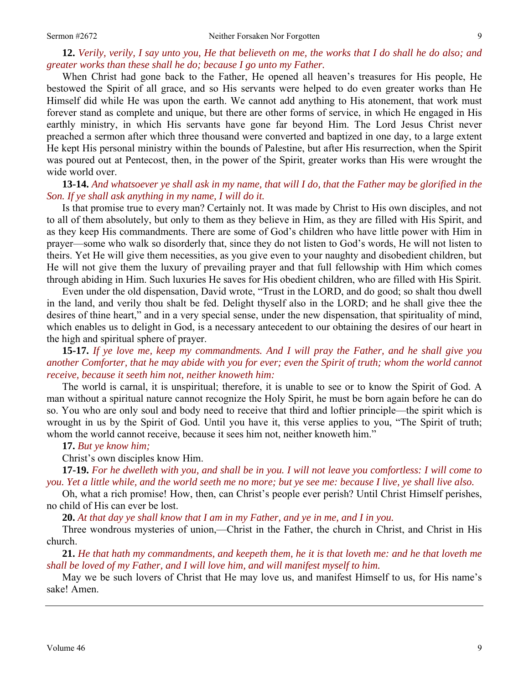# **12.** *Verily, verily, I say unto you, He that believeth on me, the works that I do shall he do also; and greater works than these shall he do; because I go unto my Father.*

When Christ had gone back to the Father, He opened all heaven's treasures for His people, He bestowed the Spirit of all grace, and so His servants were helped to do even greater works than He Himself did while He was upon the earth. We cannot add anything to His atonement, that work must forever stand as complete and unique, but there are other forms of service, in which He engaged in His earthly ministry, in which His servants have gone far beyond Him. The Lord Jesus Christ never preached a sermon after which three thousand were converted and baptized in one day, to a large extent He kept His personal ministry within the bounds of Palestine, but after His resurrection, when the Spirit was poured out at Pentecost, then, in the power of the Spirit, greater works than His were wrought the wide world over.

### **13-14.** *And whatsoever ye shall ask in my name, that will I do, that the Father may be glorified in the Son. If ye shall ask anything in my name, I will do it.*

Is that promise true to every man? Certainly not. It was made by Christ to His own disciples, and not to all of them absolutely, but only to them as they believe in Him, as they are filled with His Spirit, and as they keep His commandments. There are some of God's children who have little power with Him in prayer—some who walk so disorderly that, since they do not listen to God's words, He will not listen to theirs. Yet He will give them necessities, as you give even to your naughty and disobedient children, but He will not give them the luxury of prevailing prayer and that full fellowship with Him which comes through abiding in Him. Such luxuries He saves for His obedient children, who are filled with His Spirit.

Even under the old dispensation, David wrote, "Trust in the LORD, and do good; so shalt thou dwell in the land, and verily thou shalt be fed. Delight thyself also in the LORD; and he shall give thee the desires of thine heart," and in a very special sense, under the new dispensation, that spirituality of mind, which enables us to delight in God, is a necessary antecedent to our obtaining the desires of our heart in the high and spiritual sphere of prayer.

**15-17.** *If ye love me, keep my commandments. And I will pray the Father, and he shall give you another Comforter, that he may abide with you for ever; even the Spirit of truth; whom the world cannot receive, because it seeth him not, neither knoweth him:* 

The world is carnal, it is unspiritual; therefore, it is unable to see or to know the Spirit of God. A man without a spiritual nature cannot recognize the Holy Spirit, he must be born again before he can do so. You who are only soul and body need to receive that third and loftier principle—the spirit which is wrought in us by the Spirit of God. Until you have it, this verse applies to you, "The Spirit of truth; whom the world cannot receive, because it sees him not, neither knoweth him."

#### **17.** *But ye know him;*

Christ's own disciples know Him.

**17-19.** *For he dwelleth with you, and shall be in you. I will not leave you comfortless: I will come to you. Yet a little while, and the world seeth me no more; but ye see me: because I live, ye shall live also.* 

Oh, what a rich promise! How, then, can Christ's people ever perish? Until Christ Himself perishes, no child of His can ever be lost.

**20.** *At that day ye shall know that I am in my Father, and ye in me, and I in you.* 

Three wondrous mysteries of union,—Christ in the Father, the church in Christ, and Christ in His church.

**21.** *He that hath my commandments, and keepeth them, he it is that loveth me: and he that loveth me shall be loved of my Father, and I will love him, and will manifest myself to him.* 

May we be such lovers of Christ that He may love us, and manifest Himself to us, for His name's sake! Amen.